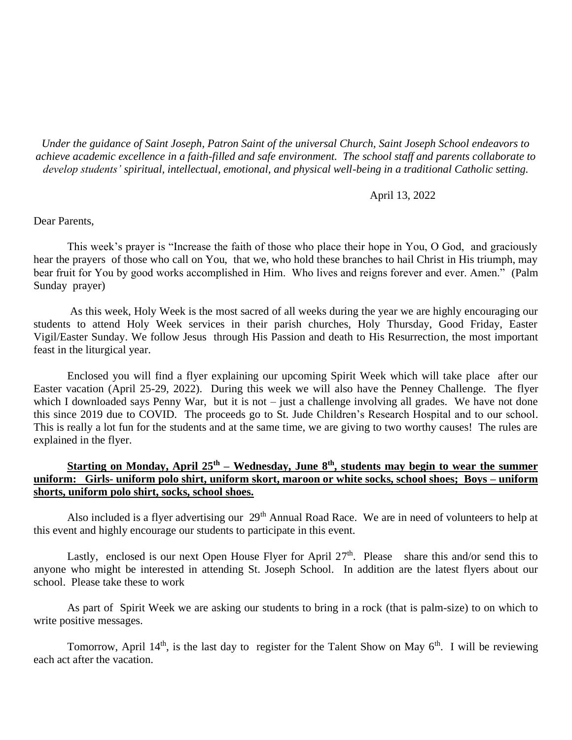*Under the guidance of Saint Joseph, Patron Saint of the universal Church, Saint Joseph School endeavors to achieve academic excellence in a faith-filled and safe environment. The school staff and parents collaborate to develop students' spiritual, intellectual, emotional, and physical well-being in a traditional Catholic setting.*

### April 13, 2022

### Dear Parents,

This week's prayer is "Increase the faith of those who place their hope in You, O God, and graciously hear the prayers of those who call on You, that we, who hold these branches to hail Christ in His triumph, may bear fruit for You by good works accomplished in Him. Who lives and reigns forever and ever. Amen." (Palm Sunday prayer)

As this week, Holy Week is the most sacred of all weeks during the year we are highly encouraging our students to attend Holy Week services in their parish churches, Holy Thursday, Good Friday, Easter Vigil/Easter Sunday. We follow Jesus through His Passion and death to His Resurrection, the most important feast in the liturgical year.

Enclosed you will find a flyer explaining our upcoming Spirit Week which will take place after our Easter vacation (April 25-29, 2022). During this week we will also have the Penney Challenge. The flyer which I downloaded says Penny War, but it is not – just a challenge involving all grades. We have not done this since 2019 due to COVID. The proceeds go to St. Jude Children's Research Hospital and to our school. This is really a lot fun for the students and at the same time, we are giving to two worthy causes! The rules are explained in the flyer.

# **Starting on Monday, April 25th – Wednesday, June 8th, students may begin to wear the summer uniform: Girls- uniform polo shirt, uniform skort, maroon or white socks, school shoes; Boys – uniform shorts, uniform polo shirt, socks, school shoes.**

Also included is a flyer advertising our 29<sup>th</sup> Annual Road Race. We are in need of volunteers to help at this event and highly encourage our students to participate in this event.

Lastly, enclosed is our next Open House Flyer for April 27<sup>th</sup>. Please share this and/or send this to anyone who might be interested in attending St. Joseph School. In addition are the latest flyers about our school. Please take these to work

As part of Spirit Week we are asking our students to bring in a rock (that is palm-size) to on which to write positive messages.

Tomorrow, April 14<sup>th</sup>, is the last day to register for the Talent Show on May  $6<sup>th</sup>$ . I will be reviewing each act after the vacation.